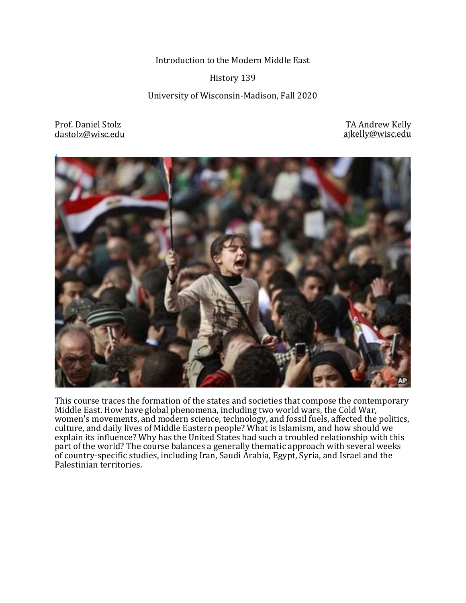Introduction to the Modern Middle East

#### History 139

University of Wisconsin-Madison, Fall 2020

Prof. Daniel Stolz dastolz@wisc.edu

 TA Andrew Kelly ajkelly@wisc.edu



This course traces the formation of the states and societies that compose the contemporary Middle East. How have global phenomena, including two world wars, the Cold War, women's movements, and modern science, technology, and fossil fuels, affected the politics, culture, and daily lives of Middle Eastern people? What is Islamism, and how should we explain its influence? Why has the United States had such a troubled relationship with this part of the world? The course balances a generally thematic approach with several weeks of country-specific studies, including Iran, Saudi Arabia, Egypt, Syria, and Israel and the Palestinian territories.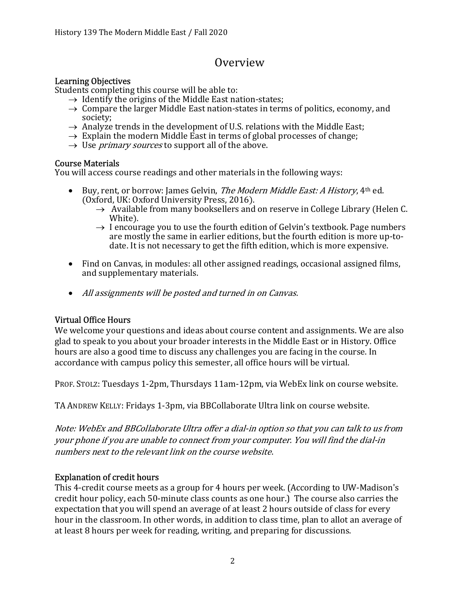## **Overview**

### Learning Objectives

Students completing this course will be able to:

- $\rightarrow$  Identify the origins of the Middle East nation-states;
- $\rightarrow$  Compare the larger Middle East nation-states in terms of politics, economy, and society;
- $\rightarrow$  Analyze trends in the development of U.S. relations with the Middle East;
- $\rightarrow$  Explain the modern Middle East in terms of global processes of change;
- $\rightarrow$  Use *primary sources* to support all of the above.

#### Course Materials

You will access course readings and other materials in the following ways:

- Euy, rent, or borrow: James Gelvin, *The Modern Middle East: A History*,  $4<sup>th</sup>$  ed. (Oxford, UK: Oxford University Press, 2016).
	- $\rightarrow$  Available from many booksellers and on reserve in College Library (Helen C. White).
	- $\rightarrow$  I encourage you to use the fourth edition of Gelvin's textbook. Page numbers are mostly the same in earlier editions, but the fourth edition is more up-todate. It is not necessary to get the fifth edition, which is more expensive.
- Find on Canvas, in modules: all other assigned readings, occasional assigned films, and supplementary materials.
- All assignments will be posted and turned in on Canvas.

## Virtual Office Hours

We welcome your questions and ideas about course content and assignments. We are also glad to speak to you about your broader interests in the Middle East or in History. Office hours are also a good time to discuss any challenges you are facing in the course. In accordance with campus policy this semester, all office hours will be virtual.

PROF. STOLZ: Tuesdays 1-2pm, Thursdays 11am-12pm, via WebEx link on course website.

TA ANDREW KELLY: Fridays 1-3pm, via BBCollaborate Ultra link on course website.

Note: WebEx and BBCollaborate Ultra offer a dial-in option so that you can talk to us from your phone if you are unable to connect from your computer. You will find the dial-in numbers next to the relevant link on the course website.

## Explanation of credit hours

This 4-credit course meets as a group for 4 hours per week. (According to UW-Madison's credit hour policy, each 50-minute class counts as one hour.) The course also carries the expectation that you will spend an average of at least 2 hours outside of class for every hour in the classroom. In other words, in addition to class time, plan to allot an average of at least 8 hours per week for reading, writing, and preparing for discussions.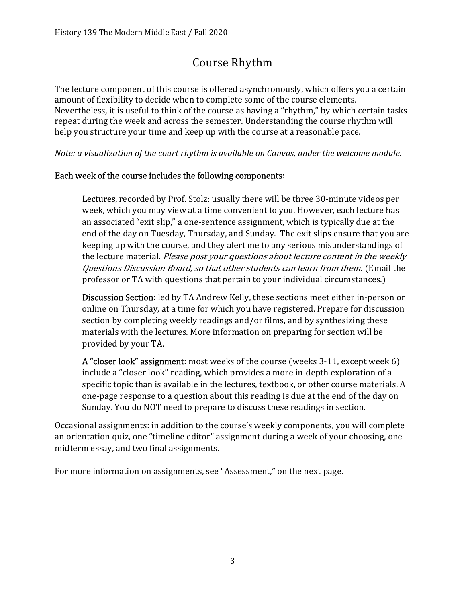# Course Rhythm

The lecture component of this course is offered asynchronously, which offers you a certain amount of flexibility to decide when to complete some of the course elements. Nevertheless, it is useful to think of the course as having a "rhythm," by which certain tasks repeat during the week and across the semester. Understanding the course rhythm will help you structure your time and keep up with the course at a reasonable pace.

Note: a visualization of the court rhythm is available on Canvas, under the welcome module.

## Each week of the course includes the following components:

Lectures, recorded by Prof. Stolz: usually there will be three 30-minute videos per week, which you may view at a time convenient to you. However, each lecture has an associated "exit slip," a one-sentence assignment, which is typically due at the end of the day on Tuesday, Thursday, and Sunday. The exit slips ensure that you are keeping up with the course, and they alert me to any serious misunderstandings of the lecture material. Please post your questions about lecture content in the weekly Questions Discussion Board, so that other students can learn from them. (Email the professor or TA with questions that pertain to your individual circumstances.)

Discussion Section: led by TA Andrew Kelly, these sections meet either in-person or online on Thursday, at a time for which you have registered. Prepare for discussion section by completing weekly readings and/or films, and by synthesizing these materials with the lectures. More information on preparing for section will be provided by your TA.

A "closer look" assignment: most weeks of the course (weeks 3-11, except week 6) include a "closer look" reading, which provides a more in-depth exploration of a specific topic than is available in the lectures, textbook, or other course materials. A one-page response to a question about this reading is due at the end of the day on Sunday. You do NOT need to prepare to discuss these readings in section.

Occasional assignments: in addition to the course's weekly components, you will complete an orientation quiz, one "timeline editor" assignment during a week of your choosing, one midterm essay, and two final assignments.

For more information on assignments, see "Assessment," on the next page.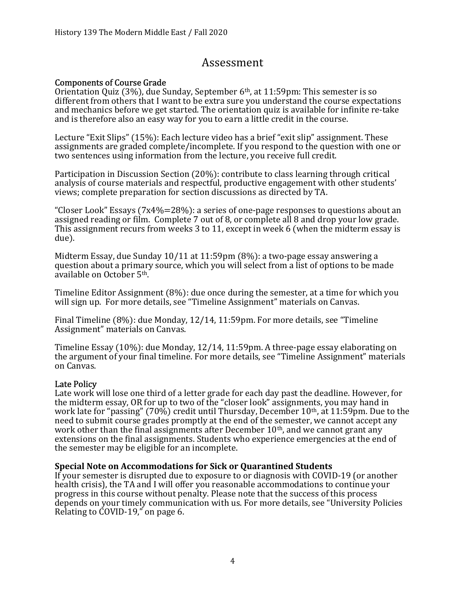## Assessment

### Components of Course Grade

Orientation Quiz (3%), due Sunday, September 6th, at 11:59pm: This semester is so different from others that I want to be extra sure you understand the course expectations and mechanics before we get started. The orientation quiz is available for infinite re-take and is therefore also an easy way for you to earn a little credit in the course.

Lecture "Exit Slips" (15%): Each lecture video has a brief "exit slip" assignment. These assignments are graded complete/incomplete. If you respond to the question with one or two sentences using information from the lecture, you receive full credit.

Participation in Discussion Section (20%): contribute to class learning through critical analysis of course materials and respectful, productive engagement with other students' views; complete preparation for section discussions as directed by TA.

"Closer Look" Essays ( $7x4\% = 28\%$ ): a series of one-page responses to questions about an assigned reading or film. Complete 7 out of 8, or complete all 8 and drop your low grade. This assignment recurs from weeks 3 to 11, except in week 6 (when the midterm essay is due).

Midterm Essay, due Sunday 10/11 at 11:59pm (8%): a two-page essay answering a question about a primary source, which you will select from a list of options to be made available on October 5th.

Timeline Editor Assignment (8%): due once during the semester, at a time for which you will sign up. For more details, see "Timeline Assignment" materials on Canvas.

Final Timeline (8%): due Monday, 12/14, 11:59pm. For more details, see "Timeline Assignment" materials on Canvas.

Timeline Essay (10%): due Monday, 12/14, 11:59pm. A three-page essay elaborating on the argument of your final timeline. For more details, see "Timeline Assignment" materials on Canvas.

#### Late Policy

Late work will lose one third of a letter grade for each day past the deadline. However, for the midterm essay, OR for up to two of the "closer look" assignments, you may hand in work late for "passing" (70%) credit until Thursday, December 10th, at 11:59pm. Due to the need to submit course grades promptly at the end of the semester, we cannot accept any work other than the final assignments after December  $10<sup>th</sup>$ , and we cannot grant any extensions on the final assignments. Students who experience emergencies at the end of the semester may be eligible for an incomplete.

#### Special Note on Accommodations for Sick or Quarantined Students

If your semester is disrupted due to exposure to or diagnosis with COVID-19 (or another health crisis), the TA and I will offer you reasonable accommodations to continue your progress in this course without penalty. Please note that the success of this process depends on your timely communication with us. For more details, see "University Policies Relating to COVID-19," on page 6.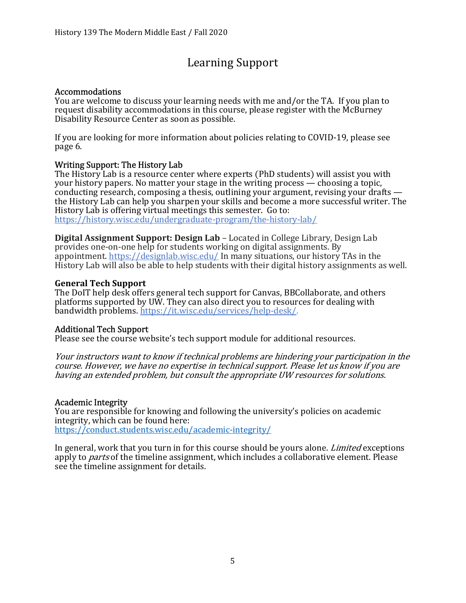# Learning Support

#### Accommodations

You are welcome to discuss your learning needs with me and/or the TA. If you plan to request disability accommodations in this course, please register with the McBurney Disability Resource Center as soon as possible.

If you are looking for more information about policies relating to COVID-19, please see page 6.

#### Writing Support: The History Lab

The History Lab is a resource center where experts (PhD students) will assist you with your history papers. No matter your stage in the writing process — choosing a topic, conducting research, composing a thesis, outlining your argument, revising your drafts the History Lab can help you sharpen your skills and become a more successful writer. The History Lab is offering virtual meetings this semester. Go to: https://history.wisc.edu/undergraduate-program/the-history-lab/

Digital Assignment Support: Design Lab – Located in College Library, Design Lab provides one-on-one help for students working on digital assignments. By appointment. https://designlab.wisc.edu/ In many situations, our history TAs in the History Lab will also be able to help students with their digital history assignments as well.

#### General Tech Support

The DoIT help desk offers general tech support for Canvas, BBCollaborate, and others platforms supported by UW. They can also direct you to resources for dealing with bandwidth problems. https://it.wisc.edu/services/help-desk/.

#### Additional Tech Support

Please see the course website's tech support module for additional resources.

Your instructors want to know if technical problems are hindering your participation in the course. However, we have no expertise in technical support. Please let us know if you are having an extended problem, but consult the appropriate UW resources for solutions.

#### Academic Integrity

You are responsible for knowing and following the university's policies on academic integrity, which can be found here: https://conduct.students.wisc.edu/academic-integrity/

In general, work that you turn in for this course should be yours alone. *Limited* exceptions apply to *parts* of the timeline assignment, which includes a collaborative element. Please see the timeline assignment for details.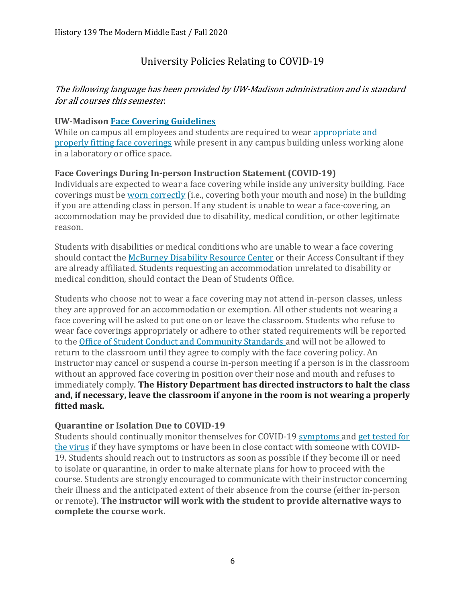## University Policies Relating to COVID-19

## The following language has been provided by UW-Madison administration and is standard for all courses this semester.

### UW-Madison Face Covering Guidelines

While on campus all employees and students are required to wear appropriate and properly fitting face coverings while present in any campus building unless working alone in a laboratory or office space.

### Face Coverings During In-person Instruction Statement (COVID-19)

Individuals are expected to wear a face covering while inside any university building. Face coverings must be worn correctly (i.e., covering both your mouth and nose) in the building if you are attending class in person. If any student is unable to wear a face-covering, an accommodation may be provided due to disability, medical condition, or other legitimate reason.

Students with disabilities or medical conditions who are unable to wear a face covering should contact the McBurney Disability Resource Center or their Access Consultant if they are already affiliated. Students requesting an accommodation unrelated to disability or medical condition, should contact the Dean of Students Office.

Students who choose not to wear a face covering may not attend in-person classes, unless they are approved for an accommodation or exemption. All other students not wearing a face covering will be asked to put one on or leave the classroom. Students who refuse to wear face coverings appropriately or adhere to other stated requirements will be reported to the Office of Student Conduct and Community Standards and will not be allowed to return to the classroom until they agree to comply with the face covering policy. An instructor may cancel or suspend a course in-person meeting if a person is in the classroom without an approved face covering in position over their nose and mouth and refuses to immediately comply. The History Department has directed instructors to halt the class and, if necessary, leave the classroom if anyone in the room is not wearing a properly fitted mask.

#### Quarantine or Isolation Due to COVID-19

Students should continually monitor themselves for COVID-19 symptoms and get tested for the virus if they have symptoms or have been in close contact with someone with COVID-19. Students should reach out to instructors as soon as possible if they become ill or need to isolate or quarantine, in order to make alternate plans for how to proceed with the course. Students are strongly encouraged to communicate with their instructor concerning their illness and the anticipated extent of their absence from the course (either in-person or remote). The instructor will work with the student to provide alternative ways to complete the course work.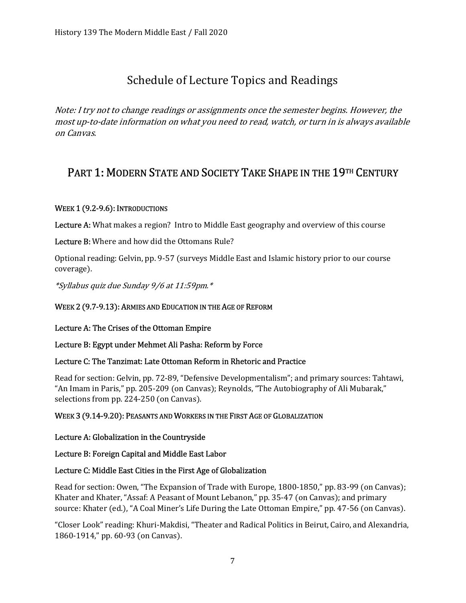# Schedule of Lecture Topics and Readings

Note: I try not to change readings or assignments once the semester begins. However, the most up-to-date information on what you need to read, watch, or turn in is always available on Canvas.

## PART 1: MODERN STATE AND SOCIETY TAKE SHAPE IN THE 19TH CENTURY

#### WEEK 1 (9.2-9.6): INTRODUCTIONS

Lecture A: What makes a region? Intro to Middle East geography and overview of this course

Lecture B: Where and how did the Ottomans Rule?

Optional reading: Gelvin, pp. 9-57 (surveys Middle East and Islamic history prior to our course coverage).

\*Syllabus quiz due Sunday 9/6 at 11:59pm.\*

#### WEEK 2 (9.7-9.13): ARMIES AND EDUCATION IN THE AGE OF REFORM

#### Lecture A: The Crises of the Ottoman Empire

#### Lecture B: Egypt under Mehmet Ali Pasha: Reform by Force

#### Lecture C: The Tanzimat: Late Ottoman Reform in Rhetoric and Practice

Read for section: Gelvin, pp. 72-89, "Defensive Developmentalism"; and primary sources: Tahtawi, "An Imam in Paris," pp. 205-209 (on Canvas); Reynolds, "The Autobiography of Ali Mubarak," selections from pp. 224-250 (on Canvas).

#### WEEK 3 (9.14-9.20): PEASANTS AND WORKERS IN THE FIRST AGE OF GLOBALIZATION

#### Lecture A: Globalization in the Countryside

#### Lecture B: Foreign Capital and Middle East Labor

#### Lecture C: Middle East Cities in the First Age of Globalization

Read for section: Owen, "The Expansion of Trade with Europe, 1800-1850," pp. 83-99 (on Canvas); Khater and Khater, "Assaf: A Peasant of Mount Lebanon," pp. 35-47 (on Canvas); and primary source: Khater (ed.), "A Coal Miner's Life During the Late Ottoman Empire," pp. 47-56 (on Canvas).

"Closer Look" reading: Khuri-Makdisi, "Theater and Radical Politics in Beirut, Cairo, and Alexandria, 1860-1914," pp. 60-93 (on Canvas).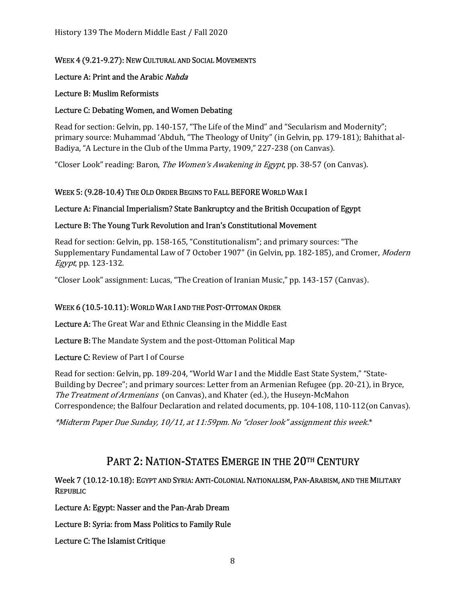#### WEEK 4 (9.21-9.27): NEW CULTURAL AND SOCIAL MOVEMENTS

#### Lecture A: Print and the Arabic Nahda

#### Lecture B: Muslim Reformists

#### Lecture C: Debating Women, and Women Debating

Read for section: Gelvin, pp. 140-157, "The Life of the Mind" and "Secularism and Modernity"; primary source: Muhammad 'Abduh, "The Theology of Unity" (in Gelvin, pp. 179-181); Bahithat al-Badiya, "A Lecture in the Club of the Umma Party, 1909," 227-238 (on Canvas).

"Closer Look" reading: Baron, *The Women's Awakening in Egypt*, pp. 38-57 (on Canvas).

#### WEEK 5: (9.28-10.4) THE OLD ORDER BEGINS TO FALL BEFORE WORLD WAR I

#### Lecture A: Financial Imperialism? State Bankruptcy and the British Occupation of Egypt

#### Lecture B: The Young Turk Revolution and Iran's Constitutional Movement

Read for section: Gelvin, pp. 158-165, "Constitutionalism"; and primary sources: "The Supplementary Fundamental Law of 7 October 1907" (in Gelvin, pp. 182-185), and Cromer, Modern Egypt, pp. 123-132.

"Closer Look" assignment: Lucas, "The Creation of Iranian Music," pp. 143-157 (Canvas).

#### WEEK 6 (10.5-10.11): WORLD WAR I AND THE POST-OTTOMAN ORDER

Lecture A: The Great War and Ethnic Cleansing in the Middle East

Lecture B: The Mandate System and the post-Ottoman Political Map

Lecture C: Review of Part I of Course

Read for section: Gelvin, pp. 189-204, "World War I and the Middle East State System," "State-Building by Decree"; and primary sources: Letter from an Armenian Refugee (pp. 20-21), in Bryce, The Treatment of Armenians (on Canvas), and Khater (ed.), the Huseyn-McMahon Correspondence; the Balfour Declaration and related documents, pp. 104-108, 110-112(on Canvas).

\*Midterm Paper Due Sunday, 10/11, at 11:59pm. No "closer look" assignment this week.\*

## PART 2: NATION-STATES EMERGE IN THE 20TH CENTURY

#### Week 7 (10.12-10.18): EGYPT AND SYRIA: ANTI-COLONIAL NATIONALISM, PAN-ARABISM, AND THE MILITARY REPUBLIC

Lecture A: Egypt: Nasser and the Pan-Arab Dream

Lecture B: Syria: from Mass Politics to Family Rule

Lecture C: The Islamist Critique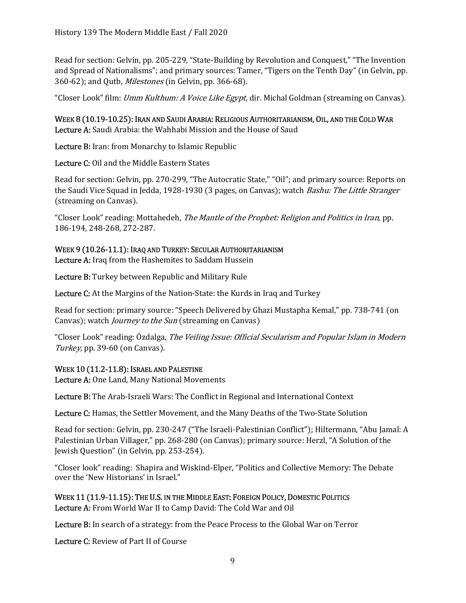Read for section: Gelvin, pp. 205-229, "State-Building by Revolution and Conquest," "The Invention and Spread of Nationalisms"; and primary sources: Tamer, "Tigers on the Tenth Day" (in Gelvin, pp. 360-62); and Qutb, Milestones (in Gelvin, pp. 366-68).

"Closer Look" film: *Umm Kulthum: A Voice Like Egypt*, dir. Michal Goldman (streaming on Canvas).

WEEK 8 (10.19-10.25): IRAN AND SAUDI ARABIA: RELIGIOUS AUTHORITARIANISM, OIL, AND THE COLD WAR Lecture A: Saudi Arabia: the Wahhabi Mission and the House of Saud

Lecture B: Iran: from Monarchy to Islamic Republic

Lecture C: Oil and the Middle Eastern States

Read for section: Gelvin, pp. 270-299, "The Autocratic State," "Oil"; and primary source: Reports on the Saudi Vice Squad in Jedda, 1928-1930 (3 pages, on Canvas); watch *Bashu: The Little Stranger* (streaming on Canvas).

"Closer Look" reading: Mottahedeh, The Mantle of the Prophet: Religion and Politics in Iran, pp. 186-194, 248-268, 272-287.

#### WEEK 9 (10.26-11.1): IRAQ AND TURKEY: SECULAR AUTHORITARIANISM

Lecture A: Iraq from the Hashemites to Saddam Hussein

Lecture B: Turkey between Republic and Military Rule

Lecture C: At the Margins of the Nation-State: the Kurds in Iraq and Turkey

Read for section: primary source: "Speech Delivered by Ghazi Mustapha Kemal," pp. 738-741 (on Canvas); watch *Journey to the Sun* (streaming on Canvas)

"Closer Look" reading: Özdalga, The Veiling Issue: Official Secularism and Popular Islam in Modern Turkey, pp. 39-60 (on Canvas).

#### WEEK 10 (11.2-11.8): ISRAEL AND PALESTINE

Lecture A: One Land, Many National Movements

Lecture B: The Arab-Israeli Wars: The Conflict in Regional and International Context

Lecture C: Hamas, the Settler Movement, and the Many Deaths of the Two-State Solution

Read for section: Gelvin, pp. 230-247 ("The Israeli-Palestinian Conflict"); Hiltermann, "Abu Jamal: A Palestinian Urban Villager," pp. 268-280 (on Canvas); primary source: Herzl, "A Solution of the Jewish Question" (in Gelvin, pp. 253-254).

"Closer look" reading: Shapira and Wiskind-Elper, "Politics and Collective Memory: The Debate over the 'New Historians' in Israel."

WEEK 11 (11.9-11.15): THE U.S. IN THE MIDDLE EAST: FOREIGN POLICY, DOMESTIC POLITICS Lecture A: From World War II to Camp David: The Cold War and Oil

Lecture B: In search of a strategy: from the Peace Process to the Global War on Terror

Lecture C: Review of Part II of Course